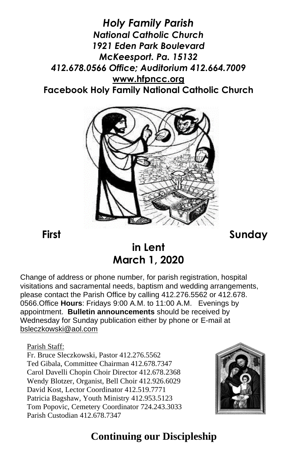*Holy Family Parish National Catholic Church 1921 Eden Park Boulevard McKeesport. Pa. 15132 412.678.0566 Office; Auditorium 412.664.7009* **[www.hfpncc.org](http://www.hfpncc.org/) Facebook Holy Family National Catholic Church**



**First Sunday** 

# **in Lent March 1, 2020**

Change of address or phone number, for parish registration, hospital visitations and sacramental needs, baptism and wedding arrangements, please contact the Parish Office by calling 412.276.5562 or 412.678. 0566.Office **Hours**: Fridays 9:00 A.M. to 11:00 A.M. Evenings by appointment. **Bulletin announcements** should be received by Wednesday for Sunday publication either by phone or E-mail at [bsleczkowski@aol.com](mailto:bsleczkowski@aol.com)

Parish Staff:

Fr. Bruce Sleczkowski, Pastor 412.276.5562 Ted Gibala, Committee Chairman 412.678.7347 Carol Davelli Chopin Choir Director 412.678.2368 Wendy Blotzer, Organist, Bell Choir 412.926.6029 David Kost, Lector Coordinator 412.519.7771 Patricia Bagshaw, Youth Ministry 412.953.5123 Tom Popovic, Cemetery Coordinator 724.243.3033 Parish Custodian 412.678.7347



## **Continuing our Discipleship**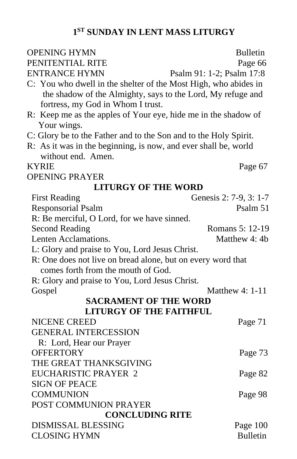#### **1 ST SUNDAY IN LENT MASS LITURGY**

| <b>OPENING HYMN</b>                                                                                           | <b>Bulletin</b>                    |  |  |  |  |  |  |
|---------------------------------------------------------------------------------------------------------------|------------------------------------|--|--|--|--|--|--|
| PENITENTIAL RITE                                                                                              | Page 66                            |  |  |  |  |  |  |
| <b>ENTRANCE HYMN</b>                                                                                          | Psalm 91: 1-2; Psalm 17:8          |  |  |  |  |  |  |
| C: You who dwell in the shelter of the Most High, who abides in                                               |                                    |  |  |  |  |  |  |
| the shadow of the Almighty, says to the Lord, My refuge and                                                   |                                    |  |  |  |  |  |  |
| fortress, my God in Whom I trust.                                                                             |                                    |  |  |  |  |  |  |
| R: Keep me as the apples of Your eye, hide me in the shadow of                                                |                                    |  |  |  |  |  |  |
| Your wings.                                                                                                   |                                    |  |  |  |  |  |  |
| C: Glory be to the Father and to the Son and to the Holy Spirit.                                              |                                    |  |  |  |  |  |  |
| R: As it was in the beginning, is now, and ever shall be, world                                               |                                    |  |  |  |  |  |  |
| without end. Amen.                                                                                            |                                    |  |  |  |  |  |  |
| <b>KYRIE</b>                                                                                                  | Page 67                            |  |  |  |  |  |  |
| <b>OPENING PRAYER</b>                                                                                         |                                    |  |  |  |  |  |  |
| <b>LITURGY OF THE WORD</b>                                                                                    |                                    |  |  |  |  |  |  |
| <b>First Reading</b>                                                                                          | Genesis 2: 7-9, 3: 1-7<br>Psalm 51 |  |  |  |  |  |  |
| <b>Responsorial Psalm</b>                                                                                     |                                    |  |  |  |  |  |  |
| R: Be merciful, O Lord, for we have sinned.                                                                   | Romans 5: 12-19                    |  |  |  |  |  |  |
| <b>Second Reading</b><br>Lenten Acclamations.                                                                 | Matthew 4: 4b                      |  |  |  |  |  |  |
|                                                                                                               |                                    |  |  |  |  |  |  |
| L: Glory and praise to You, Lord Jesus Christ.<br>R: One does not live on bread alone, but on every word that |                                    |  |  |  |  |  |  |
| comes forth from the mouth of God.                                                                            |                                    |  |  |  |  |  |  |
| R: Glory and praise to You, Lord Jesus Christ.                                                                |                                    |  |  |  |  |  |  |
| Gospel                                                                                                        | Matthew 4: 1-11                    |  |  |  |  |  |  |
| <b>SACRAMENT OF THE WORD</b>                                                                                  |                                    |  |  |  |  |  |  |
| <b>LITURGY OF THE FAITHFUL</b>                                                                                |                                    |  |  |  |  |  |  |
| <b>NICENE CREED</b>                                                                                           | Page 71                            |  |  |  |  |  |  |
| <b>GENERAL INTERCESSION</b>                                                                                   |                                    |  |  |  |  |  |  |
| R: Lord, Hear our Prayer                                                                                      |                                    |  |  |  |  |  |  |
| <b>OFFERTORY</b>                                                                                              | Page 73                            |  |  |  |  |  |  |
| THE GREAT THANKSGIVING                                                                                        |                                    |  |  |  |  |  |  |
| <b>EUCHARISTIC PRAYER 2</b>                                                                                   | Page 82                            |  |  |  |  |  |  |
| <b>SIGN OF PEACE</b>                                                                                          |                                    |  |  |  |  |  |  |
| <b>COMMUNION</b>                                                                                              | Page 98                            |  |  |  |  |  |  |
| POST COMMUNION PRAYER                                                                                         |                                    |  |  |  |  |  |  |
| <b>CONCLUDING RITE</b>                                                                                        |                                    |  |  |  |  |  |  |
| <b>DISMISSAL BLESSING</b>                                                                                     | Page 100                           |  |  |  |  |  |  |
| <b>CLOSING HYMN</b>                                                                                           | <b>Bulletin</b>                    |  |  |  |  |  |  |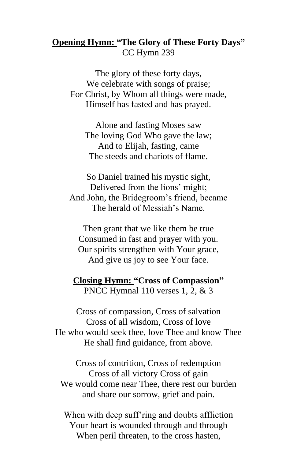#### **Opening Hymn: "The Glory of These Forty Days"** CC Hymn 239

The glory of these forty days, We celebrate with songs of praise; For Christ, by Whom all things were made, Himself has fasted and has prayed.

Alone and fasting Moses saw The loving God Who gave the law; And to Elijah, fasting, came The steeds and chariots of flame.

So Daniel trained his mystic sight, Delivered from the lions' might; And John, the Bridegroom's friend, became The herald of Messiah's Name.

Then grant that we like them be true Consumed in fast and prayer with you. Our spirits strengthen with Your grace, And give us joy to see Your face.

**Closing Hymn: "Cross of Compassion"** PNCC Hymnal 110 verses 1, 2, & 3

Cross of compassion, Cross of salvation Cross of all wisdom, Cross of love He who would seek thee, love Thee and know Thee He shall find guidance, from above.

Cross of contrition, Cross of redemption Cross of all victory Cross of gain We would come near Thee, there rest our burden and share our sorrow, grief and pain.

When with deep suff'ring and doubts affliction Your heart is wounded through and through When peril threaten, to the cross hasten,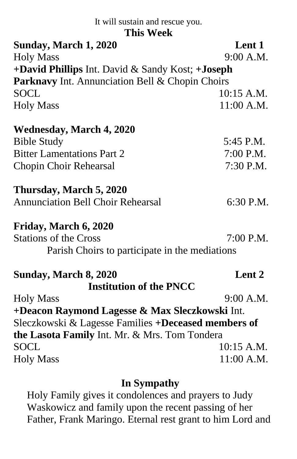It will sustain and rescue you.

#### **This Week**

| і шэ Уусск                                             |                   |
|--------------------------------------------------------|-------------------|
| Sunday, March 1, 2020                                  | Lent 1            |
| <b>Holy Mass</b>                                       | 9:00 A.M.         |
| +David Phillips Int. David & Sandy Kost; +Joseph       |                   |
| <b>Parknavy</b> Int. Annunciation Bell & Chopin Choirs |                   |
| <b>SOCL</b>                                            | $10:15$ A.M.      |
| <b>Holy Mass</b>                                       | 11:00 A.M.        |
| <b>Wednesday, March 4, 2020</b>                        |                   |
| <b>Bible Study</b>                                     | 5:45 P.M.         |
| <b>Bitter Lamentations Part 2</b>                      | 7:00 P.M.         |
| Chopin Choir Rehearsal                                 | 7:30 P.M.         |
| Thursday, March 5, 2020                                |                   |
| <b>Annunciation Bell Choir Rehearsal</b>               | 6:30 P.M.         |
| Friday, March 6, 2020                                  |                   |
| <b>Stations of the Cross</b>                           | 7:00 P.M.         |
| Parish Choirs to participate in the mediations         |                   |
| Sunday, March 8, 2020                                  | Lent <sub>2</sub> |
| <b>Institution of the PNCC</b>                         |                   |
| <b>Holy Mass</b>                                       | 9:00 A.M.         |
| +Deacon Raymond Lagesse & Max Sleczkowski Int.         |                   |
| Sleczkowski & Lagesse Families +Deceased members of    |                   |
| the Lasota Family Int. Mr. & Mrs. Tom Tondera          |                   |
| <b>SOCL</b>                                            | 10:15 A.M.        |
| <b>Holy Mass</b>                                       | 11:00 A.M.        |
|                                                        |                   |

#### **In Sympathy**

Holy Family gives it condolences and prayers to Judy Waskowicz and family upon the recent passing of her Father, Frank Maringo. Eternal rest grant to him Lord and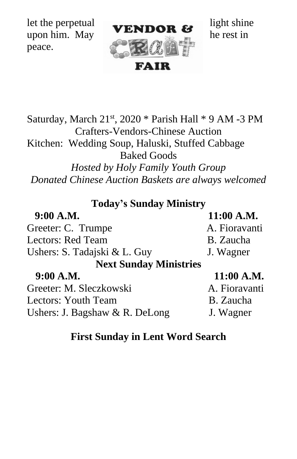peace.



Saturday, March  $21<sup>st</sup>$ ,  $2020 *$  Parish Hall  $*$  9 AM -3 PM Crafters-Vendors-Chinese Auction Kitchen: Wedding Soup, Haluski, Stuffed Cabbage

Baked Goods

*Hosted by Holy Family Youth Group Donated Chinese Auction Baskets are always welcomed*

**Today's Sunday Ministry**

| 9:00 A.M.                                           | 11:00 A.M.               |
|-----------------------------------------------------|--------------------------|
| Greeter: C. Trumpe                                  | A. Fioravanti            |
| <b>Lectors: Red Team</b>                            | B. Zaucha                |
| Ushers: S. Tadajski & L. Guy                        | J. Wagner                |
| <b>Next Sunday Ministries</b>                       |                          |
| 9:00 A.M.                                           | 11:00 A.M.               |
| Greeter: M. Sleczkowski                             | A. Fioravanti            |
| $\mathbf{I}$ $\mathbf{V}$ $\mathbf{I}$ $\mathbf{V}$ | $D \cdot Z_{\text{max}}$ |

Lectors: Youth Team B. Zaucha Ushers: J. Bagshaw & R. DeLong J. Wagner

## **First Sunday in Lent Word Search**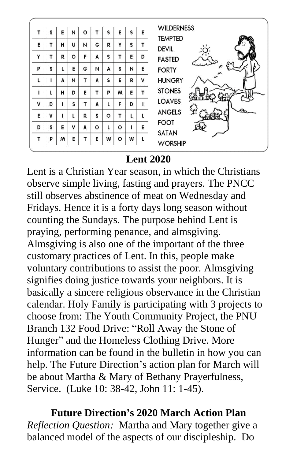| т | s | E | И | $\circ$ |   | s | E | s | E | <b>WILDERNESS</b><br><b>TEMPTED</b> |
|---|---|---|---|---------|---|---|---|---|---|-------------------------------------|
| E |   | н | U | N       | G | R | Y | s |   | <b>DEVIL</b>                        |
| Y | т | R | ٥ | F       | A | s | т | E | D | <b>FASTED</b>                       |
| P | s | ι | Е | G       | N | A | s | И | E | <b>FORTY</b>                        |
| L |   | A | И | т       | A | s | E | R | v | <b>HUNGRY</b>                       |
|   |   | н | D | E       | т | P | м | E | т | <b>STONES</b>                       |
| v | D |   | s | т       | A |   | F | D |   | <b>LOAVES</b>                       |
| E | v |   |   | R       | s | ۰ | т |   |   | <b>ANGELS</b>                       |
| D | s | E | v | A       | o | L | o |   | E | <b>FOOT</b><br><b>SATAN</b>         |
| т | P | w | E | т       | E | w | ٥ | w | L | <b>WORSHIP</b>                      |

#### **Lent 2020**

Lent is a Christian Year season, in which the Christians observe simple living, fasting and prayers. The PNCC still observes abstinence of meat on Wednesday and Fridays. Hence it is a forty days long season without counting the Sundays. The purpose behind Lent is praying, performing penance, and almsgiving. Almsgiving is also one of the important of the three customary practices of Lent. In this, people make voluntary contributions to assist the poor. Almsgiving signifies doing justice towards your neighbors. It is basically a sincere religious observance in the Christian calendar. Holy Family is participating with 3 projects to choose from: The Youth Community Project, the PNU Branch 132 Food Drive: "Roll Away the Stone of Hunger" and the Homeless Clothing Drive. More information can be found in the bulletin in how you can help. The Future Direction's action plan for March will be about Martha & Mary of Bethany Prayerfulness, Service. (Luke 10: 38-42, John 11: 1-45).

**Future Direction's 2020 March Action Plan** *Reflection Question:* Martha and Mary together give a balanced model of the aspects of our discipleship. Do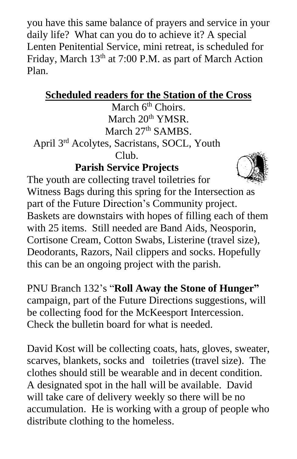you have this same balance of prayers and service in your daily life? What can you do to achieve it? A special Lenten Penitential Service, mini retreat, is scheduled for Friday, March 13<sup>th</sup> at 7:00 P.M. as part of March Action Plan.

## **Scheduled readers for the Station of the Cross**

March 6<sup>th</sup> Choirs. March 20<sup>th</sup> YMSR. March  $27<sup>th</sup>$  SAMBS.

April 3rd Acolytes, Sacristans, SOCL, Youth  $\mathsf{C}$ lub.

## **Parish Service Projects**



The youth are collecting travel toiletries for Witness Bags during this spring for the Intersection as part of the Future Direction's Community project. Baskets are downstairs with hopes of filling each of them with 25 items. Still needed are Band Aids, Neosporin, Cortisone Cream, Cotton Swabs, Listerine (travel size), Deodorants, Razors, Nail clippers and socks. Hopefully this can be an ongoing project with the parish.

PNU Branch 132's "**Roll Away the Stone of Hunger"** campaign, part of the Future Directions suggestions, will be collecting food for the McKeesport Intercession. Check the bulletin board for what is needed.

David Kost will be collecting coats, hats, gloves, sweater, scarves, blankets, socks and toiletries (travel size). The clothes should still be wearable and in decent condition. A designated spot in the hall will be available. David will take care of delivery weekly so there will be no accumulation. He is working with a group of people who distribute clothing to the homeless.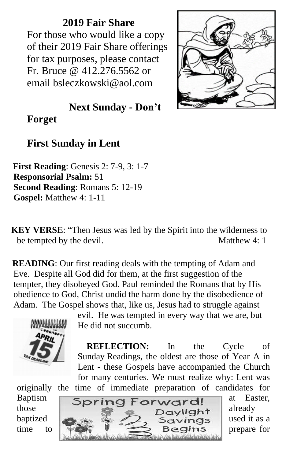**2019 Fair Share** For those who would like a copy of their 2019 Fair Share offerings for tax purposes, please contact Fr. Bruce @ 412.276.5562 or email bsleczkowski@aol.com



 **Next Sunday - Don't** 

**Forget**

### **First Sunday in Lent**

 **First Reading**: Genesis 2: 7-9, 3: 1-7 **Responsorial Psalm:** 51 **Second Reading**: Romans 5: 12-19 **Gospel:** Matthew 4: 1-11

 **KEY VERSE**: "Then Jesus was led by the Spirit into the wilderness to be tempted by the devil. Matthew 4: 1

**READING**: Our first reading deals with the tempting of Adam and Eve. Despite all God did for them, at the first suggestion of the tempter, they disobeyed God. Paul reminded the Romans that by His obedience to God, Christ undid the harm done by the disobedience of Adam. The Gospel shows that, like us, Jesus had to struggle against



evil. He was tempted in every way that we are, but He did not succumb.

 **REFLECTION:** In the Cycle of Sunday Readings, the oldest are those of Year A in Lent - these Gospels have accompanied the Church for many centuries. We must realize why: Lent was originally the time of immediate preparation of candidates for